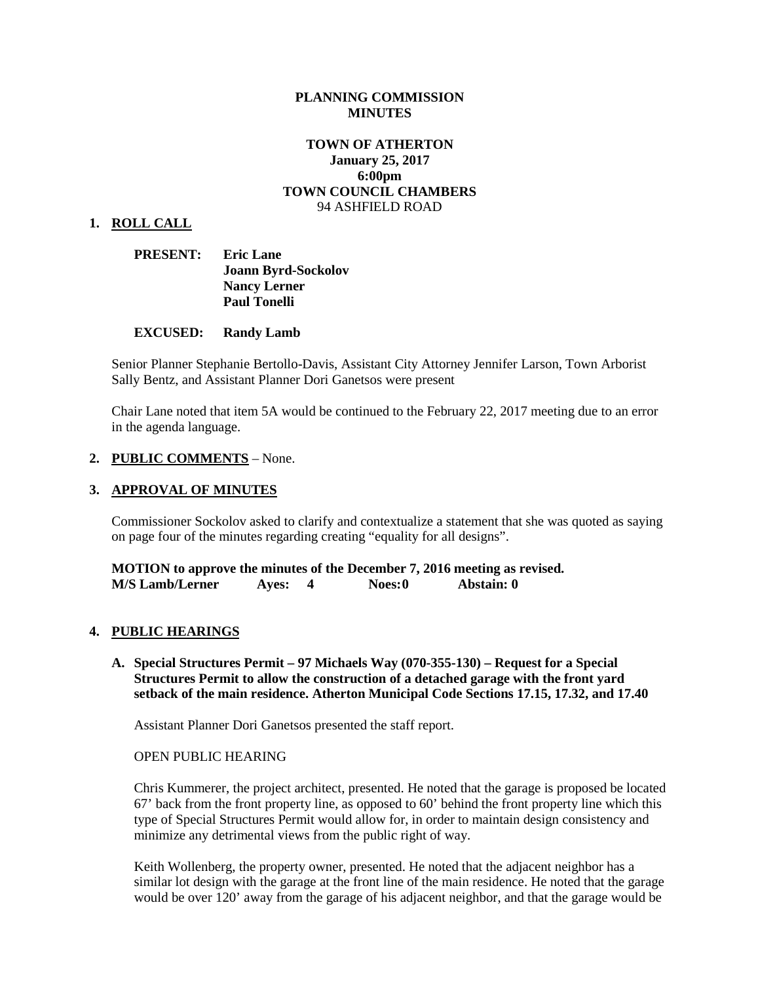### **PLANNING COMMISSION MINUTES**

# **TOWN OF ATHERTON January 25, 2017 6:00pm TOWN COUNCIL CHAMBERS** 94 ASHFIELD ROAD

#### **1. ROLL CALL**

| <b>PRESENT:</b> | <b>Eric Lane</b>           |
|-----------------|----------------------------|
|                 | <b>Joann Byrd-Sockolov</b> |
|                 | <b>Nancy Lerner</b>        |
|                 | <b>Paul Tonelli</b>        |

#### **EXCUSED: Randy Lamb**

Senior Planner Stephanie Bertollo-Davis, Assistant City Attorney Jennifer Larson, Town Arborist Sally Bentz, and Assistant Planner Dori Ganetsos were present

Chair Lane noted that item 5A would be continued to the February 22, 2017 meeting due to an error in the agenda language.

#### **2. PUBLIC COMMENTS** – None.

#### **3. APPROVAL OF MINUTES**

Commissioner Sockolov asked to clarify and contextualize a statement that she was quoted as saying on page four of the minutes regarding creating "equality for all designs".

**MOTION to approve the minutes of the December 7, 2016 meeting as revised. M/S Lamb/Lerner Ayes: 4 Noes:0 Abstain: 0**

## **4. PUBLIC HEARINGS**

**A. Special Structures Permit – 97 Michaels Way (070-355-130) – Request for a Special Structures Permit to allow the construction of a detached garage with the front yard setback of the main residence. Atherton Municipal Code Sections 17.15, 17.32, and 17.40**

Assistant Planner Dori Ganetsos presented the staff report.

#### OPEN PUBLIC HEARING

Chris Kummerer, the project architect, presented. He noted that the garage is proposed be located 67' back from the front property line, as opposed to 60' behind the front property line which this type of Special Structures Permit would allow for, in order to maintain design consistency and minimize any detrimental views from the public right of way.

Keith Wollenberg, the property owner, presented. He noted that the adjacent neighbor has a similar lot design with the garage at the front line of the main residence. He noted that the garage would be over 120' away from the garage of his adjacent neighbor, and that the garage would be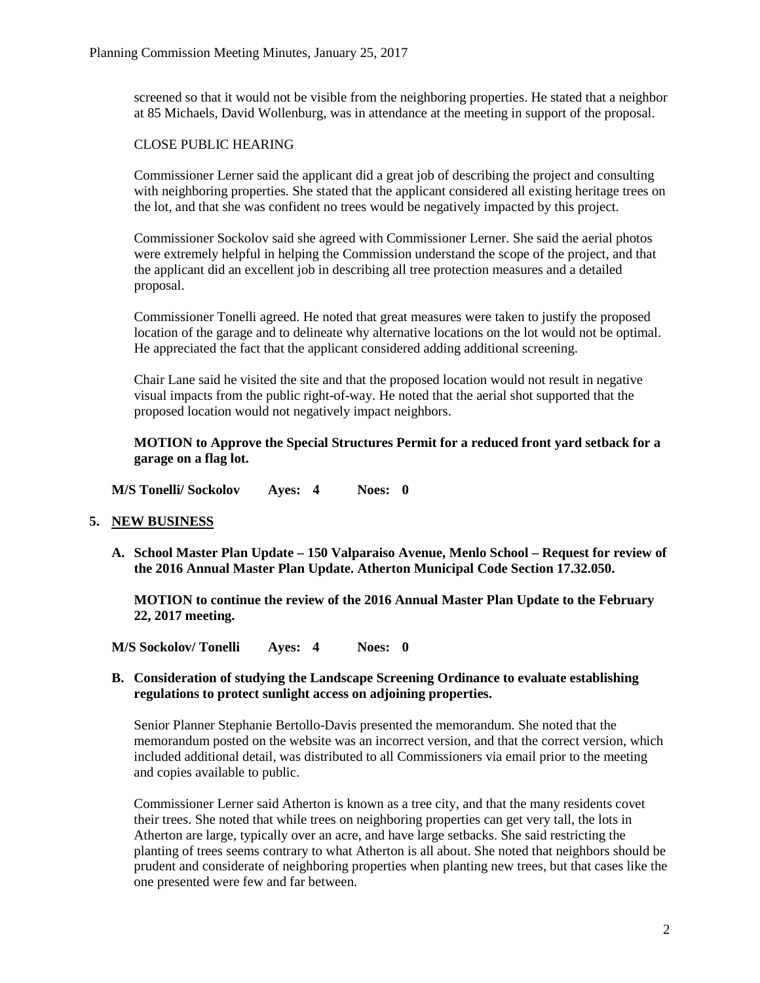screened so that it would not be visible from the neighboring properties. He stated that a neighbor at 85 Michaels, David Wollenburg, was in attendance at the meeting in support of the proposal.

# CLOSE PUBLIC HEARING

Commissioner Lerner said the applicant did a great job of describing the project and consulting with neighboring properties. She stated that the applicant considered all existing heritage trees on the lot, and that she was confident no trees would be negatively impacted by this project.

Commissioner Sockolov said she agreed with Commissioner Lerner. She said the aerial photos were extremely helpful in helping the Commission understand the scope of the project, and that the applicant did an excellent job in describing all tree protection measures and a detailed proposal.

Commissioner Tonelli agreed. He noted that great measures were taken to justify the proposed location of the garage and to delineate why alternative locations on the lot would not be optimal. He appreciated the fact that the applicant considered adding additional screening.

Chair Lane said he visited the site and that the proposed location would not result in negative visual impacts from the public right-of-way. He noted that the aerial shot supported that the proposed location would not negatively impact neighbors.

**MOTION to Approve the Special Structures Permit for a reduced front yard setback for a garage on a flag lot.** 

**M/S Tonelli/ Sockolov Ayes: 4 Noes: 0**

## **5. NEW BUSINESS**

**A. School Master Plan Update – 150 Valparaiso Avenue, Menlo School – Request for review of the 2016 Annual Master Plan Update. Atherton Municipal Code Section 17.32.050.** 

**MOTION to continue the review of the 2016 Annual Master Plan Update to the February 22, 2017 meeting.** 

**M/S Sockolov/ Tonelli Ayes: 4 Noes: 0**

### **B. Consideration of studying the Landscape Screening Ordinance to evaluate establishing regulations to protect sunlight access on adjoining properties.**

Senior Planner Stephanie Bertollo-Davis presented the memorandum. She noted that the memorandum posted on the website was an incorrect version, and that the correct version, which included additional detail, was distributed to all Commissioners via email prior to the meeting and copies available to public.

Commissioner Lerner said Atherton is known as a tree city, and that the many residents covet their trees. She noted that while trees on neighboring properties can get very tall, the lots in Atherton are large, typically over an acre, and have large setbacks. She said restricting the planting of trees seems contrary to what Atherton is all about. She noted that neighbors should be prudent and considerate of neighboring properties when planting new trees, but that cases like the one presented were few and far between.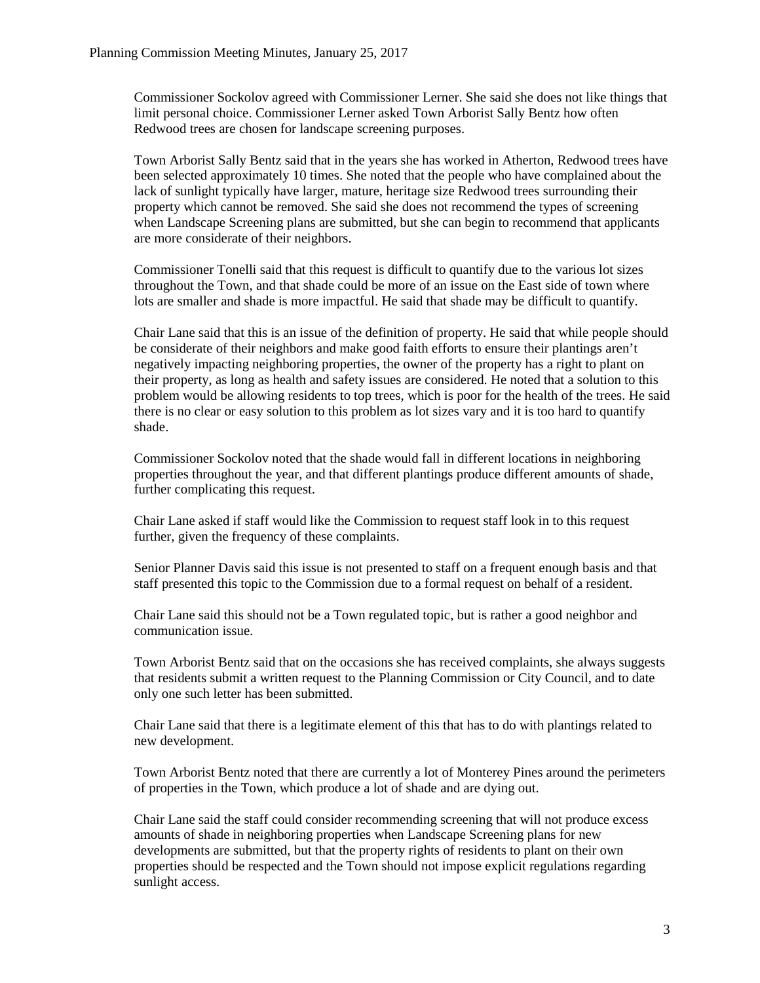Commissioner Sockolov agreed with Commissioner Lerner. She said she does not like things that limit personal choice. Commissioner Lerner asked Town Arborist Sally Bentz how often Redwood trees are chosen for landscape screening purposes.

Town Arborist Sally Bentz said that in the years she has worked in Atherton, Redwood trees have been selected approximately 10 times. She noted that the people who have complained about the lack of sunlight typically have larger, mature, heritage size Redwood trees surrounding their property which cannot be removed. She said she does not recommend the types of screening when Landscape Screening plans are submitted, but she can begin to recommend that applicants are more considerate of their neighbors.

Commissioner Tonelli said that this request is difficult to quantify due to the various lot sizes throughout the Town, and that shade could be more of an issue on the East side of town where lots are smaller and shade is more impactful. He said that shade may be difficult to quantify.

Chair Lane said that this is an issue of the definition of property. He said that while people should be considerate of their neighbors and make good faith efforts to ensure their plantings aren't negatively impacting neighboring properties, the owner of the property has a right to plant on their property, as long as health and safety issues are considered. He noted that a solution to this problem would be allowing residents to top trees, which is poor for the health of the trees. He said there is no clear or easy solution to this problem as lot sizes vary and it is too hard to quantify shade.

Commissioner Sockolov noted that the shade would fall in different locations in neighboring properties throughout the year, and that different plantings produce different amounts of shade, further complicating this request.

Chair Lane asked if staff would like the Commission to request staff look in to this request further, given the frequency of these complaints.

Senior Planner Davis said this issue is not presented to staff on a frequent enough basis and that staff presented this topic to the Commission due to a formal request on behalf of a resident.

Chair Lane said this should not be a Town regulated topic, but is rather a good neighbor and communication issue.

Town Arborist Bentz said that on the occasions she has received complaints, she always suggests that residents submit a written request to the Planning Commission or City Council, and to date only one such letter has been submitted.

Chair Lane said that there is a legitimate element of this that has to do with plantings related to new development.

Town Arborist Bentz noted that there are currently a lot of Monterey Pines around the perimeters of properties in the Town, which produce a lot of shade and are dying out.

Chair Lane said the staff could consider recommending screening that will not produce excess amounts of shade in neighboring properties when Landscape Screening plans for new developments are submitted, but that the property rights of residents to plant on their own properties should be respected and the Town should not impose explicit regulations regarding sunlight access.